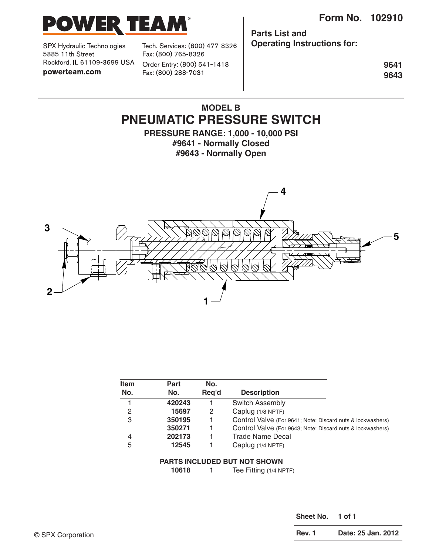

SPX Hydraulic Technologies 5885 11th Street Rockford, IL 61109-3699 USA powerteam.com

Tech. Services: (800) 477-8326 Fax: (800) 765-8326

Order Entry: (800) 541-1418 Fax: (800) 288-7031

**Parts List and Operating Instructions for:**

> **9641 9643**

# **MODEL B PNEUMATIC PRESSURE SWITCH**

**PRESSURE RANGE: 1,000 - 10,000 PSI #9641 - Normally Closed #9643 - Normally Open**



| <b>Item</b><br>No. | Part<br>No. | No.<br>Reg'd | <b>Description</b>                                         |
|--------------------|-------------|--------------|------------------------------------------------------------|
|                    |             |              |                                                            |
| 2                  | 15697       | 2            | Caplug (1/8 NPTF)                                          |
| 3                  | 350195      |              | Control Valve (For 9641; Note: Discard nuts & lockwashers) |
|                    | 350271      |              | Control Valve (For 9643; Note: Discard nuts & lockwashers) |
| $\overline{4}$     | 202173      |              | <b>Trade Name Decal</b>                                    |
| 5                  | 12545       |              | Caplug (1/4 NPTF)                                          |

#### **PARTS INCLUDED BUT NOT SHOWN**

**10618** 1 Tee Fitting (1/4 NPTF)

**Sheet No. 1 of 1** © SPX Corporation **Rev. 1 Date: 25 Jan. 2012**